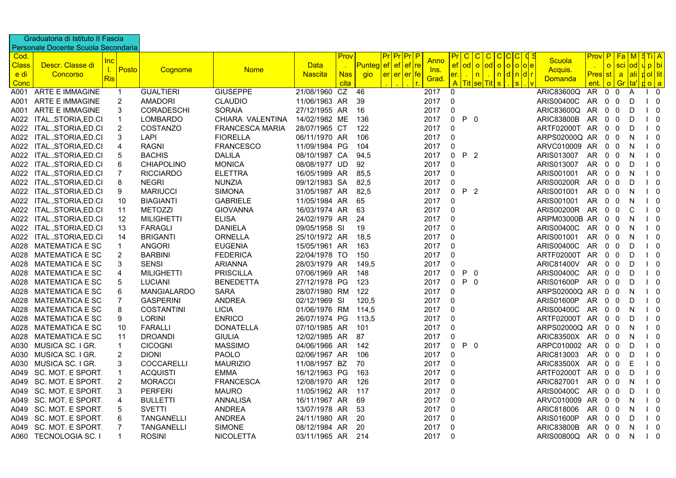|              | Graduatoria di Istituto II Fascia   |                                     |                    |                        |                |            |              |             |                            |                   |                |                                         |                   |             |                             |              |                                 |
|--------------|-------------------------------------|-------------------------------------|--------------------|------------------------|----------------|------------|--------------|-------------|----------------------------|-------------------|----------------|-----------------------------------------|-------------------|-------------|-----------------------------|--------------|---------------------------------|
|              | Personale Docente Scuola Secondaria |                                     |                    |                        |                |            |              |             |                            |                   |                |                                         |                   |             |                             |              |                                 |
| Cod.         |                                     |                                     |                    |                        |                | Prov       |              |             |                            | <u>Pr</u><br>C.   | C              | $\mathbf{C}$<br>C.<br><sub>C</sub><br>C | <b>Scuola</b>     | <u>Prov</u> | P.<br><mark>Fa</mark>       | $\mathsf{M}$ | STIA                            |
| <b>Class</b> | Descr. Classe di                    | <u>Inc</u><br>$\mathbf{L}$<br>Posto | Cognome            | <b>Nome</b>            | <b>Data</b>    |            | Punteg ef ef | $ef$ re     | <b>Anno</b><br><u>Ins.</u> | $_{\rm ef}$<br>od | $\overline{O}$ | o o o e<br><b>od</b>                    | Acquis.           |             | sci<br>$\circ$              |              | od  u p   bi                    |
| <u>e di</u>  | Concorso                            | <b>Ris</b>                          |                    |                        | <b>Nascita</b> | <b>Nas</b> | <b>gio</b>   | er er er fe | Grad                       | er.               | $\overline{n}$ | <mark> d n d r</mark><br>n              | <b>Domanda</b>    | Pres        | st<br><b>a</b>              |              | <mark>∣ali ∣ d ol ∣ lit_</mark> |
| Conc         |                                     |                                     |                    |                        |                | cita       |              |             |                            | A<br>Tit          | sel            | $\mathbf{s}$<br>$\mathbf{s}$<br>Tit     |                   | ent.        | Gr<br>$\circ$               | <u>Ita'l</u> | <u>ola</u>                      |
| A001         | <b>ARTE E IMMAGINE</b>              | $\mathbf{1}$                        | <b>GUALTIERI</b>   | <b>GIUSEPPE</b>        | 21/08/1960 CZ  |            | 46           |             | 2017                       | 0                 |                |                                         | ARIC83600Q        | AR.         | $\mathbf 0$<br>0            | Α            | 0                               |
| A001         | ARTE E IMMAGINE                     | $\overline{2}$                      | <b>AMADORI</b>     | <b>CLAUDIO</b>         | 11/06/1963 AR  |            | 39           |             | 2017                       | 0                 |                |                                         | ARIS00400C        | AR          | $\mathbf 0$<br>0            | D            | 0                               |
| A001         | ARTE E IMMAGINE                     | 3                                   | <b>CORADESCHI</b>  | <b>SORAIA</b>          | 27/12/1955 AR  |            | 16           |             | 2017                       | 0                 |                |                                         | ARIC83600Q        | AR          | $\mathbf 0$<br>0            | D            | $\mathbf 0$                     |
| A022         | ITAL., STORIA, ED.CI                | $\mathbf{1}$                        | <b>LOMBARDO</b>    | CHIARA VALENTINA       | 14/02/1982 ME  |            | 136          |             | 2017                       | $\Omega$          | P <sub>0</sub> |                                         | <b>ARIC83800B</b> | AR.         | $\Omega$<br>0               | D            | $\overline{0}$                  |
| A022         | ITAL., STORIA, ED.CI                | $\overline{2}$                      | <b>COSTANZO</b>    | <b>FRANCESCA MARIA</b> | 28/07/1965 CT  |            | 122          |             | 2017                       | 0                 |                |                                         | ARTF02000T AR     |             | 0<br>0                      | D            | - 0                             |
| A022         | ITAL., STORIA, ED.CI                | 3                                   | <b>LAPI</b>        | <b>FIORELLA</b>        | 06/11/1970 AR  |            | 106          |             | 2017                       | 0                 |                |                                         | ARPS02000Q AR     |             | $\mathbf 0$<br>0            | N            | $\mathbf 0$                     |
| A022         | ITAL., STORIA, ED.CI                | 4                                   | <b>RAGNI</b>       | <b>FRANCESCO</b>       | 11/09/1984 PG  |            | 104          |             | 2017                       | 0                 |                |                                         | ARVC010009 AR     |             | $\mathbf 0$<br>$\mathbf 0$  | N            | - 0                             |
| A022         | ITAL., STORIA, ED.CI                | 5                                   | <b>BACHIS</b>      | <b>DALILA</b>          | 08/10/1987 CA  |            | 94,5         |             | 2017                       | $\Omega$          | P 2            |                                         | ARIS013007        | AR.         | 0<br>0                      | N            | - 0                             |
| A022         | ITAL., STORIA, ED.CI                | 6                                   | <b>CHIAPOLINO</b>  | <b>MONICA</b>          | 08/08/1977 UD  |            | 92           |             | 2017                       | 0                 |                |                                         | ARIS013007        | AR.         | 0<br>0                      | D            | $\mathbf 0$                     |
| A022         | ITAL., STORIA, ED.CI                | $\overline{7}$                      | <b>RICCIARDO</b>   | <b>ELETTRA</b>         | 16/05/1989 AR  |            | 85.5         |             | 2017                       | 0                 |                |                                         | ARIS001001        | AR.         | $\mathbf 0$<br>$\mathbf 0$  | N            | $\begin{matrix} \end{matrix}$   |
| A022         | ITAL., STORIA, ED.CI                | 8                                   | <b>NEGRI</b>       | <b>NUNZIA</b>          | 09/12/1983 SA  |            | 82,5         |             | 2017                       | 0                 |                |                                         | <b>ARIS00200R</b> | AR          | $\mathbf 0$<br>$\mathbf 0$  | D            | - 0                             |
| A022         | ITAL., STORIA, ED.CI                | 9                                   | <b>MARIUCCI</b>    | <b>SIMONA</b>          | 31/05/1987 AR  |            | 82,5         |             | 2017                       | 0                 | P 2            |                                         | ARIS001001        | AR.         | $\mathbf 0$<br>0            | N            | $\overline{0}$                  |
| A022         | ITAL., STORIA, ED.CI                | 10                                  | <b>BIAGIANTI</b>   | <b>GABRIELE</b>        | 11/05/1984 AR  |            | 65           |             | 2017                       | 0                 |                |                                         | ARIS001001        | AR.         | $\overline{0}$<br>0         | N            | $\overline{0}$                  |
| A022         | ITAL., STORIA, ED.CI                | 11                                  | <b>METOZZI</b>     | <b>GIOVANNA</b>        | 16/03/1974 AR  |            | 63           |             | 2017                       | 0                 |                |                                         | <b>ARIS00200R</b> | AR          | $\mathbf 0$<br>0            | C            | - 0                             |
| A022         | ITAL., STORIA, ED.CI                | 12                                  | <b>MILIGHETTI</b>  | <b>ELISA</b>           | 24/02/1979 AR  |            | 24           |             | 2017                       | 0                 |                |                                         | ARPM03000B AR     |             | 0<br>0                      | N            | $\overline{0}$                  |
| A022         | ITAL., STORIA, ED.CI                | 13                                  | <b>FARAGLI</b>     | <b>DANIELA</b>         | 09/05/1958 SI  |            | 19           |             | 2017                       | 0                 |                |                                         | ARIS00400C        | AR.         | $\mathbf 0$<br>0            | N            | $\overline{0}$                  |
| A022         | ITAL., STORIA, ED.CI                | 14                                  | <b>BRIGANTI</b>    | ORNELLA                | 25/10/1972 AR  |            | 18,5         |             | 2017                       | 0                 |                |                                         | ARIS001001        | AR          | $\mathbf{0}$<br>$\mathbf 0$ | N            | - 0                             |
| A028         | <b>MATEMATICA E SC</b>              | $\mathbf{1}$                        | <b>ANGORI</b>      | <b>EUGENIA</b>         | 15/05/1961 AR  |            | 163          |             | 2017                       | 0                 |                |                                         | ARIS00400C        | AR          | $\mathbf 0$<br>0            | D            | $\mathbf 0$                     |
| A028         | <b>MATEMATICA E SC</b>              | $\overline{2}$                      | <b>BARBINI</b>     | <b>FEDERICA</b>        | 22/04/1978 TO  |            | 150          |             | 2017                       | 0                 |                |                                         | ARTF02000T AR     |             | $\mathbf{0}$<br>0           | D            | $\overline{0}$                  |
| A028         | <b>MATEMATICA E SC</b>              | 3                                   | <b>SENSI</b>       | <b>ARIANNA</b>         | 28/03/1979 AR  |            | 149,5        |             | 2017                       | 0                 |                |                                         | <b>ARIC81400V</b> | AR.         | $\mathbf 0$<br>$\mathbf 0$  | D            | - 0                             |
| A028         | <b>MATEMATICA E SC</b>              | $\overline{\mathbf{4}}$             | <b>MILIGHETTI</b>  | <b>PRISCILLA</b>       | 07/06/1969 AR  |            | 148          |             | 2017                       | $\Omega$          | $P \t 0$       |                                         | ARIS00400C        | AR          | $\mathbf 0$<br>$\mathbf{0}$ | D            | $\mathbf{0}$                    |
| A028         | <b>MATEMATICA E SC</b>              | 5                                   | <b>LUCIANI</b>     | <b>BENEDETTA</b>       | 27/12/1978 PG  |            | 123          |             | 2017                       | 0                 | $P \t 0$       |                                         | ARIS01600P        | AR.         | $\mathbf 0$<br>0            | D            | - 0                             |
| A028         | <b>MATEMATICA E SC</b>              | 6                                   | <b>MANGIALARDO</b> | <b>SARA</b>            | 28/07/1980 RM  |            | 122          |             | 2017                       | 0                 |                |                                         | ARPS02000Q AR     |             | $\mathbf 0$<br>0            | N            | - 0                             |
| A028         | <b>MATEMATICA E SC</b>              | $\overline{7}$                      | <b>GASPERINI</b>   | ANDREA                 | 02/12/1969 SI  |            | 120,5        |             | 2017                       | 0                 |                |                                         | ARIS01600P        | AR.         | $\mathbf{0}$<br>$\mathbf 0$ | D            | $\mathbf 0$                     |
| A028         | <b>MATEMATICA E SC</b>              | 8                                   | <b>COSTANTINI</b>  | <b>LICIA</b>           | 01/06/1976 RM  |            | 114,5        |             | 2017                       | 0                 |                |                                         | <b>ARIS00400C</b> | AR.         | 0<br>0                      | N            | - 0                             |
| A028         | <b>MATEMATICA E SC</b>              | 9                                   | <b>LORINI</b>      | <b>ENRICO</b>          | 26/07/1974 PG  |            | 113,5        |             | 2017                       | 0                 |                |                                         | ARTF02000T AR     |             | 0<br>0                      | D            | $\mathbf 0$                     |
| A028         | <b>MATEMATICA E SC</b>              | 10                                  | <b>FARALLI</b>     | <b>DONATELLA</b>       | 07/10/1985 AR  |            | 101          |             | 2017                       | 0                 |                |                                         | ARPS02000Q AR     |             | $\mathbf{0}$<br>0           | N            | $\overline{0}$                  |
| A028         | <b>MATEMATICA E SC</b>              | 11                                  | <b>DROANDI</b>     | <b>GIULIA</b>          | 12/02/1985 AR  |            | 87           |             | 2017                       | 0                 |                |                                         | ARIC83500X AR     |             | 0<br>0                      | N            | - 0                             |
| A030         | MUSICA SC. I GR.                    | $\mathbf{1}$                        | <b>CICOGNI</b>     | <b>MASSIMO</b>         | 04/06/1966 AR  |            | 142          |             | 2017                       | 0                 | P <sub>0</sub> |                                         | ARPC010002 AR     |             | 0<br>0                      | D            | 0                               |
| A030         | MUSICA SC. I GR.                    | 2                                   | <b>DIONI</b>       | <b>PAOLO</b>           | 02/06/1967 AR  |            | 106          |             | 2017                       | 0                 |                |                                         | ARIC813003        | AR          | $\mathbf 0$<br>0            | D            | $\overline{\mathbf{0}}$         |
| A030         | MUSICA SC. I GR.                    | 3                                   | <b>COCCARELLI</b>  | <b>MAURIZIO</b>        | 11/08/1957 BZ  |            | 70           |             | 2017                       | 0                 |                |                                         | ARIC83500X AR     |             | 0<br>0                      | Е            | 0                               |
| A049         | SC. MOT. E SPORT.                   | $\mathbf{1}$                        | <b>ACQUISTI</b>    | <b>EMMA</b>            | 16/12/1963 PG  |            | 163          |             | 2017                       | 0                 |                |                                         | ARTF02000T        | AR.         | 0<br>0                      | D            | $\mathbf 0$                     |
| A049         | SC. MOT. E SPORT.                   | $\overline{2}$                      | <b>MORACCI</b>     | <b>FRANCESCA</b>       | 12/08/1970 AR  |            | 126          |             | 2017                       | 0                 |                |                                         | ARIC827001        | AR.         | 0<br>0                      | N            | 0                               |
| A049         | SC. MOT. E SPORT.                   | 3                                   | <b>PERFERI</b>     | <b>MAURO</b>           | 11/05/1962 AR  |            | 117          |             | 2017                       | 0                 |                |                                         | <b>ARIS00400C</b> | AR          | $\mathbf 0$<br>$\mathbf 0$  | D            | - 0                             |
| A049         | SC. MOT. E SPORT.                   | 4                                   | <b>BULLETTI</b>    | <b>ANNALISA</b>        | 16/11/1967 AR  |            | 69           |             | 2017                       | 0                 |                |                                         | ARVC010009 AR     |             | $\mathbf 0$<br>0            | N            | $\overline{0}$                  |
| A049         | SC. MOT. E SPORT.                   | 5                                   | <b>SVETTI</b>      | <b>ANDREA</b>          | 13/07/1978 AR  |            | 53           |             | 2017                       | 0                 |                |                                         | ARIC818006        | AR.         | $\mathbf 0$<br>$\mathbf 0$  | N            | $\mathbf 0$                     |
| A049         | SC. MOT. E SPORT.                   | 6                                   | <b>TANGANELLI</b>  | <b>ANDREA</b>          | 24/11/1980 AR  |            | 20           |             | 2017                       | 0                 |                |                                         | ARIS01600P        | AR.         | $\mathbf 0$<br>0            | D            | - 0                             |
| A049         | SC. MOT. E SPORT.                   | $\overline{7}$                      | <b>TANGANELLI</b>  | <b>SIMONE</b>          | 08/12/1984 AR  |            | 20           |             | 2017                       | 0                 |                |                                         | <b>ARIC83800B</b> | AR.         | 0<br>0                      | N            | $\overline{0}$                  |
|              | A060 TECNOLOGIA SC. I               | $\mathbf{1}$                        | <b>ROSINI</b>      | <b>NICOLETTA</b>       | 03/11/1965 AR  |            | 214          |             | 2017                       | 0                 |                |                                         | ARIS00800Q AR 0   |             | $\overline{0}$              | N            | $\overline{0}$                  |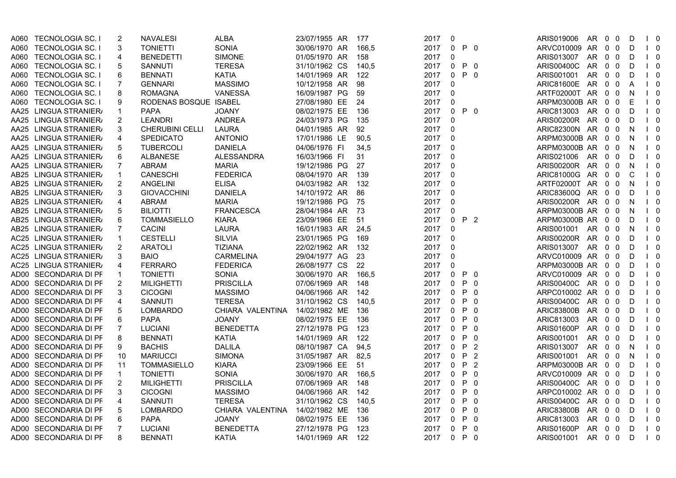| A060   | <b>TECNOLOGIA SC. I</b> | 2                       | <b>NAVALESI</b>       | <b>ALBA</b>       | 23/07/1955 AR | 177   | 2017 | 0            |                             | ARIS019006<br>AR<br>$0\quad 0$<br>$\begin{matrix} 1 & 0 \end{matrix}$<br>D                                                                                                                                                                                                                                                                                           |
|--------|-------------------------|-------------------------|-----------------------|-------------------|---------------|-------|------|--------------|-----------------------------|----------------------------------------------------------------------------------------------------------------------------------------------------------------------------------------------------------------------------------------------------------------------------------------------------------------------------------------------------------------------|
| A060   | <b>TECNOLOGIA SC. I</b> | 3                       | <b>TONIETTI</b>       | <b>SONIA</b>      | 30/06/1970 AR | 166,5 | 2017 | 0            | P <sub>0</sub>              | ARVC010009 AR<br>$0\quad 0$<br>D<br>$\begin{matrix} \end{matrix}$                                                                                                                                                                                                                                                                                                    |
| A060   | <b>TECNOLOGIA SC. I</b> | $\overline{4}$          | <b>BENEDETTI</b>      | <b>SIMONE</b>     | 01/05/1970 AR | 158   | 2017 | 0            |                             | ARIS013007<br>AR.<br>$0\quad 0$<br>$\begin{matrix} 1 & 0 \end{matrix}$<br>D                                                                                                                                                                                                                                                                                          |
| A060   | <b>TECNOLOGIA SC. I</b> | 5                       | <b>SANNUTI</b>        | <b>TERESA</b>     | 31/10/1962 CS | 140,5 | 2017 | 0            | P <sub>0</sub>              | ARIS00400C<br>AR.<br>$0\quad 0$<br>D<br>$\begin{bmatrix} 1 & 0 \end{bmatrix}$                                                                                                                                                                                                                                                                                        |
| A060 - | TECNOLOGIA SC. I        | 6                       | <b>BENNATI</b>        | <b>KATIA</b>      | 14/01/1969 AR | 122   | 2017 | 0            | P <sub>0</sub>              | ARIS001001<br>AR<br>$0\quad 0$<br>$\begin{bmatrix} 1 & 0 \end{bmatrix}$<br>D                                                                                                                                                                                                                                                                                         |
| A060   | <b>TECNOLOGIA SC. I</b> | $\overline{7}$          | <b>GENNARI</b>        | <b>MASSIMO</b>    | 10/12/1958 AR | 98    | 2017 | 0            |                             | <b>ARIC81600E</b><br>AR.<br>$0\quad 0$<br>$\begin{matrix} 1 & 0 \end{matrix}$<br>A                                                                                                                                                                                                                                                                                   |
| A060   | <b>TECNOLOGIA SC. I</b> | 8                       | <b>ROMAGNA</b>        | <b>VANESSA</b>    | 16/09/1987 PG | 59    | 2017 | 0            |                             | ARTF02000T AR<br>$0\quad 0$<br>$\begin{bmatrix} 1 & 0 \end{bmatrix}$<br>- N                                                                                                                                                                                                                                                                                          |
| A060   | <b>TECNOLOGIA SC. I</b> | 9                       | RODENAS BOSQUE ISABEL |                   | 27/08/1980 EE | 24    | 2017 | 0            |                             | $0\quad 0$<br>Е<br>$\begin{matrix} 1 & 0 \end{matrix}$<br>ARPM03000B AR                                                                                                                                                                                                                                                                                              |
|        | AA25 LINGUA STRANIER/   | $\mathbf{1}$            | <b>PAPA</b>           | <b>JOANY</b>      | 08/02/1975 EE | 136   | 2017 | 0            | $P \t0$                     | ARIC813003 AR<br>$0\quad 0$<br>D<br>$\begin{matrix} 1 & 0 \end{matrix}$                                                                                                                                                                                                                                                                                              |
|        | AA25 LINGUA STRANIER/   | $\overline{2}$          | <b>LEANDRI</b>        | <b>ANDREA</b>     | 24/03/1973 PG | 135   | 2017 | 0            |                             | ARIS00200R AR<br>$0\quad 0$<br>D<br>$\begin{matrix} \end{matrix}$                                                                                                                                                                                                                                                                                                    |
|        | AA25 LINGUA STRANIER/   | 3                       | CHERUBINI CELLI       | <b>LAURA</b>      | 04/01/1985 AR | 92    | 2017 | $\mathbf 0$  |                             | ARIC82300N AR 0 0<br>N.<br>$\begin{matrix} 1 & 0 \end{matrix}$                                                                                                                                                                                                                                                                                                       |
|        | AA25 LINGUA STRANIER/   | 4                       | <b>SPEDICATO</b>      | <b>ANTONIO</b>    | 17/01/1986 LE | 90,5  | 2017 | $\mathbf{0}$ |                             | ARPM03000B AR<br>$0\quad 0$<br>$\begin{bmatrix} 1 & 0 \\ 0 & 0 \\ 0 & 0 \\ 0 & 0 \\ 0 & 0 \\ 0 & 0 & 0 \\ 0 & 0 & 0 \\ 0 & 0 & 0 \\ 0 & 0 & 0 & 0 \\ 0 & 0 & 0 & 0 \\ 0 & 0 & 0 & 0 \\ 0 & 0 & 0 & 0 & 0 \\ 0 & 0 & 0 & 0 & 0 \\ 0 & 0 & 0 & 0 & 0 & 0 \\ 0 & 0 & 0 & 0 & 0 & 0 \\ 0 & 0 & 0 & 0 & 0 & 0 \\ 0 & 0 & 0 & 0 & 0 & 0 & 0 \\ 0 & 0 & 0 & 0 & 0 & $<br>N. |
|        | AA25 LINGUA STRANIER/   | 5                       | <b>TUBERCOLI</b>      | <b>DANIELA</b>    | 04/06/1976 FI | 34,5  | 2017 | 0            |                             | ARPM03000B AR<br>$0\quad 0$<br>N.<br>$\begin{matrix} 1 & 0 \end{matrix}$                                                                                                                                                                                                                                                                                             |
|        | AA25 LINGUA STRANIER/   | 6                       | ALBANESE              | <b>ALESSANDRA</b> | 16/03/1966 FI | 31    | 2017 | $\Omega$     |                             | $\begin{matrix} 1 & 0 \end{matrix}$<br>ARIS021006 AR<br>$0\quad 0$<br>D                                                                                                                                                                                                                                                                                              |
|        | AA25 LINGUA STRANIER/   | $\overline{7}$          | <b>ABRAM</b>          | <b>MARIA</b>      | 19/12/1986 PG | 27    | 2017 | 0            |                             | ARIS00200R AR<br>$0\quad 0$<br>$\begin{bmatrix} 1 & 0 \end{bmatrix}$<br>N.                                                                                                                                                                                                                                                                                           |
|        | AB25 LINGUA STRANIER/   | $\mathbf{1}$            | CANESCHI              | <b>FEDERICA</b>   | 08/04/1970 AR | 139   | 2017 | $\mathbf{0}$ |                             | ARIC81000G AR<br>$0\quad 0$<br>- C<br>$\begin{matrix} 1 & 0 \end{matrix}$                                                                                                                                                                                                                                                                                            |
|        | AB25 LINGUA STRANIER/   | $\overline{2}$          | <b>ANGELINI</b>       | <b>ELISA</b>      | 04/03/1982 AR | 132   | 2017 | $\mathbf 0$  |                             | ARTF02000T AR<br>$0\quad 0$<br>$\begin{matrix} 1 & 0 \end{matrix}$<br>N.                                                                                                                                                                                                                                                                                             |
|        | AB25 LINGUA STRANIER/   | 3                       | <b>GIOVACCHINI</b>    | <b>DANIELA</b>    | 14/10/1972 AR | 86    | 2017 | 0            |                             | ARIC83600Q AR<br>$0\quad 0$<br>D<br>$\begin{matrix} \end{matrix}$                                                                                                                                                                                                                                                                                                    |
|        | AB25 LINGUA STRANIER/   | 4                       | <b>ABRAM</b>          | <b>MARIA</b>      | 19/12/1986 PG | -75   | 2017 | $\Omega$     |                             | ARIS00200R AR<br>$0\quad 0$<br>$\begin{matrix} 1 & 0 \end{matrix}$<br>- N                                                                                                                                                                                                                                                                                            |
|        | AB25 LINGUA STRANIER/   | 5                       | <b>BILIOTTI</b>       | <b>FRANCESCA</b>  | 28/04/1984 AR | - 73  | 2017 | 0            |                             | ARPM03000B AR<br>$0\quad 0$<br>$\begin{matrix} 1 & 0 \end{matrix}$<br>N.                                                                                                                                                                                                                                                                                             |
|        | AB25 LINGUA STRANIER/   | 6                       | <b>TOMMASIELLO</b>    | <b>KIARA</b>      | 23/09/1966 EE | 51    | 2017 | 0            | P 2                         | ARPM03000B AR<br>$0\quad 0$<br>$\begin{matrix} 1 & 0 \end{matrix}$<br>D                                                                                                                                                                                                                                                                                              |
|        | AB25 LINGUA STRANIER/   | 7                       | <b>CACINI</b>         | <b>LAURA</b>      | 16/01/1983 AR | 24,5  | 2017 | 0            |                             | ARIS001001 AR<br>$0\quad 0$<br>$1\quad 0$<br>- N                                                                                                                                                                                                                                                                                                                     |
|        | AC25 LINGUA STRANIER/   | $\mathbf 1$             | <b>CESTELLI</b>       | <b>SILVIA</b>     | 23/01/1965 PG | 169   | 2017 | 0            |                             | <b>ARIS00200R</b><br>AR<br>$0\quad 0$<br>D<br>$\begin{matrix} 1 & 0 \end{matrix}$                                                                                                                                                                                                                                                                                    |
|        | AC25 LINGUA STRANIER/   | $\overline{2}$          | <b>ARATOLI</b>        | <b>TIZIANA</b>    | 22/02/1962 AR | 132   | 2017 | 0            |                             | ARIS013007<br><b>AR</b><br>$0\quad 0$<br>$\begin{matrix} 1 & 0 \end{matrix}$<br>D                                                                                                                                                                                                                                                                                    |
|        | AC25 LINGUA STRANIER/   | 3                       | <b>BAIO</b>           | <b>CARMELINA</b>  | 29/04/1977 AG | 23    | 2017 | $\Omega$     |                             | ARVC010009 AR<br>$0\quad 0$<br>D<br>$\begin{matrix} 1 & 0 \end{matrix}$                                                                                                                                                                                                                                                                                              |
|        | AC25 LINGUA STRANIER/   | $\overline{\mathbf{4}}$ | <b>FERRARO</b>        | <b>FEDERICA</b>   | 26/08/1977 CS | 22    | 2017 | 0            |                             | ARPM03000B AR<br>$0\quad 0$<br>$\begin{bmatrix} 1 & 0 \end{bmatrix}$<br>D                                                                                                                                                                                                                                                                                            |
|        | AD00 SECONDARIA DI PF   | $\mathbf{1}$            | <b>TONIETTI</b>       | <b>SONIA</b>      | 30/06/1970 AR | 166.5 | 2017 | 0            | P <sub>0</sub>              | ARVC010009 AR<br>$0\quad 0$<br>D<br>$\begin{bmatrix} 1 & 0 \end{bmatrix}$                                                                                                                                                                                                                                                                                            |
|        | AD00 SECONDARIA DI PF   | $\overline{2}$          | <b>MILIGHETTI</b>     | <b>PRISCILLA</b>  | 07/06/1969 AR | 148   | 2017 | 0            | P <sub>0</sub>              | ARIS00400C AR<br>$0\quad 0$<br>D<br>$\begin{matrix} 1 & 0 \end{matrix}$                                                                                                                                                                                                                                                                                              |
|        | AD00 SECONDARIA DI PF   | 3                       | <b>CICOGNI</b>        | <b>MASSIMO</b>    | 04/06/1966 AR | 142   | 2017 | 0            | P <sub>0</sub>              | ARPC010002 AR<br>$0\quad 0$<br>$\begin{matrix} 1 & 0 \end{matrix}$<br>D                                                                                                                                                                                                                                                                                              |
|        | AD00 SECONDARIA DI PF   | 4                       | <b>SANNUTI</b>        | <b>TERESA</b>     | 31/10/1962 CS | 140,5 | 2017 | $\mathbf{0}$ | P.<br>- 0                   | ARIS00400C AR<br>$0\quad 0$<br>D<br>$\begin{matrix} 1 & 0 \end{matrix}$                                                                                                                                                                                                                                                                                              |
|        | AD00 SECONDARIA DI PF   | 5                       | <b>LOMBARDO</b>       | CHIARA VALENTINA  | 14/02/1982 ME | 136   | 2017 | 0            | P<br>- 0                    | <b>ARIC83800B</b><br>$0\quad 0$<br>$\begin{bmatrix} 1 & 0 \end{bmatrix}$<br>AR<br>D                                                                                                                                                                                                                                                                                  |
|        | AD00 SECONDARIA DI PF   | 6                       | <b>PAPA</b>           | <b>JOANY</b>      | 08/02/1975 EE | 136   | 2017 | 0            | P<br>$\overline{0}$         | ARIC813003<br>AR.<br>$0\quad 0$<br>D<br>$\begin{matrix} 1 & 0 \end{matrix}$                                                                                                                                                                                                                                                                                          |
|        | AD00 SECONDARIA DI PF   | $\overline{7}$          | <b>LUCIANI</b>        | <b>BENEDETTA</b>  | 27/12/1978 PG | 123   | 2017 |              | 0 P 0                       | ARIS01600P<br>AR<br>$0\quad 0$<br>D<br>$\begin{bmatrix} 1 & 0 \end{bmatrix}$                                                                                                                                                                                                                                                                                         |
|        | AD00 SECONDARIA DI PF   | 8                       | <b>BENNATI</b>        | <b>KATIA</b>      | 14/01/1969 AR | 122   | 2017 | $\mathbf 0$  | P <sub>0</sub>              | ARIS001001<br>AR 0 0<br>D<br>$\begin{matrix} 1 & 0 \end{matrix}$                                                                                                                                                                                                                                                                                                     |
|        | AD00 SECONDARIA DI PF   | 9                       | <b>BACHIS</b>         | <b>DALILA</b>     | 08/10/1987 CA | 94,5  | 2017 | 0            | P<br>$\overline{2}$         | ARIS013007<br>AR.<br>0 <sub>0</sub><br>$\begin{matrix} 1 & 0 \end{matrix}$<br>N.                                                                                                                                                                                                                                                                                     |
|        | AD00 SECONDARIA DI PF   | 10                      | <b>MARIUCCI</b>       | <b>SIMONA</b>     | 31/05/1987 AR | 82,5  | 2017 | $\mathbf{0}$ | P<br>$\overline{2}$         | AR<br>$0\quad 0$<br>ARIS001001<br>$\begin{matrix} \end{matrix}$<br>N.                                                                                                                                                                                                                                                                                                |
|        | AD00 SECONDARIA DI PF   | 11                      | <b>TOMMASIELLO</b>    | <b>KIARA</b>      | 23/09/1966 EE | 51    | 2017 | 0            | P<br>$\overline{2}$         | ARPM03000B AR<br>$0\quad 0$<br>$\begin{matrix} 1 & 0 \end{matrix}$<br>D                                                                                                                                                                                                                                                                                              |
| AD00   | SECONDARIA DI PF        | $\mathbf 1$             | <b>TONIETTI</b>       | <b>SONIA</b>      | 30/06/1970 AR | 166,5 | 2017 | 0            | P<br>- 0                    | ARVC010009 AR<br>$0\quad 0$<br>D<br>$\begin{bmatrix} 1 & 0 \end{bmatrix}$                                                                                                                                                                                                                                                                                            |
|        | AD00 SECONDARIA DI PF   | $\overline{2}$          | <b>MILIGHETTI</b>     | <b>PRISCILLA</b>  | 07/06/1969 AR | 148   | 2017 |              | $0$ P $0$                   | ARIS00400C AR<br>$0\quad 0$<br>- D<br>$\begin{matrix} \end{matrix}$                                                                                                                                                                                                                                                                                                  |
|        | AD00 SECONDARIA DI PF   | 3                       | <b>CICOGNI</b>        | <b>MASSIMO</b>    | 04/06/1966 AR | 142   | 2017 | $\mathbf 0$  | P <sub>0</sub>              | ARPC010002 AR<br>$0\quad 0$<br>D<br>$\begin{matrix} 1 & 0 \end{matrix}$                                                                                                                                                                                                                                                                                              |
|        | AD00 SECONDARIA DI PF   | 4                       | <b>SANNUTI</b>        | <b>TERESA</b>     | 31/10/1962 CS | 140,5 | 2017 | 0            | P<br>- 0                    | ARIS00400C<br>AR<br>$0\quad 0$<br>D<br>$\begin{bmatrix} 1 & 0 \end{bmatrix}$                                                                                                                                                                                                                                                                                         |
|        | AD00 SECONDARIA DI PF   | 5                       | <b>LOMBARDO</b>       | CHIARA VALENTINA  | 14/02/1982 ME | 136   | 2017 | 0            | P <sub>0</sub>              | <b>ARIC83800B</b><br>AR<br>$0\quad 0$<br>D<br>$\begin{matrix} 1 & 0 \end{matrix}$                                                                                                                                                                                                                                                                                    |
|        | AD00 SECONDARIA DI PF   | 6                       | <b>PAPA</b>           | <b>JOANY</b>      | 08/02/1975 EE | 136   | 2017 | $\mathbf{0}$ | P <sub>0</sub>              | ARIC813003<br>AR<br>$0\quad 0$<br>D<br>$\begin{matrix} 1 & 0 \end{matrix}$                                                                                                                                                                                                                                                                                           |
|        | AD00 SECONDARIA DI PF   | $\overline{7}$          | <b>LUCIANI</b>        | <b>BENEDETTA</b>  | 27/12/1978 PG | 123   | 2017 | 0            | $\mathsf{P}$<br>$\mathbf 0$ | <b>ARIS01600P</b><br>AR<br>$0\quad 0$<br>$\begin{bmatrix} 1 & 0 \end{bmatrix}$<br>D                                                                                                                                                                                                                                                                                  |
|        | AD00 SECONDARIA DI PF   | 8                       | <b>BENNATI</b>        | KATIA             | 14/01/1969 AR | - 122 | 2017 |              | 0 P 0                       | ARIS001001<br>AR 0 0 D<br>$\begin{bmatrix} 1 & 0 \end{bmatrix}$                                                                                                                                                                                                                                                                                                      |
|        |                         |                         |                       |                   |               |       |      |              |                             |                                                                                                                                                                                                                                                                                                                                                                      |